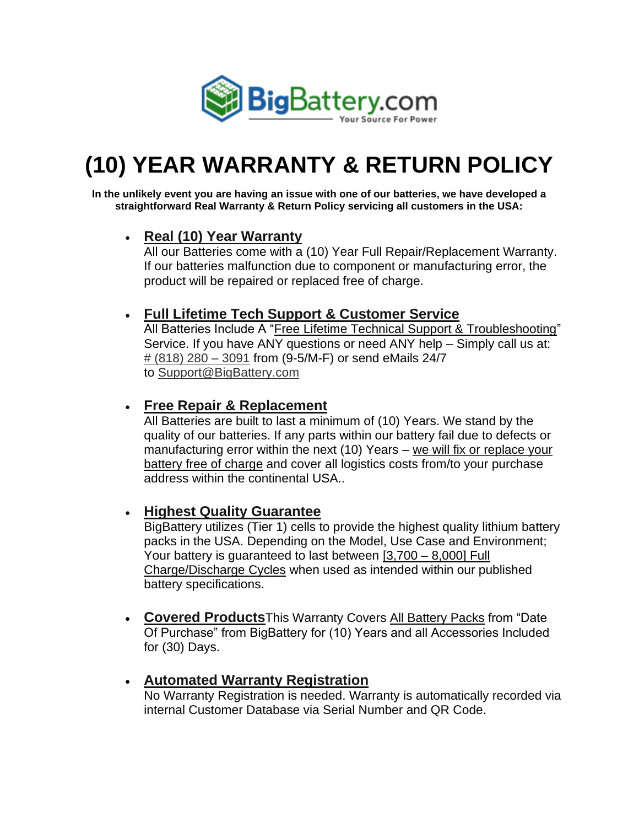

# **(10) YEAR WARRANTY & RETURN POLICY**

**In the unlikely event you are having an issue with one of our batteries, we have developed a straightforward Real Warranty & Return Policy servicing all customers in the USA:**

## • **Real (10) Year Warranty**

All our Batteries come with a (10) Year Full Repair/Replacement Warranty. If our batteries malfunction due to component or manufacturing error, the product will be repaired or replaced free of charge.

## • **Full Lifetime Tech Support & Customer Service**

All Batteries Include A "Free Lifetime Technical Support & Troubleshooting" Service. If you have ANY questions or need ANY help – Simply call us at: [# \(818\) 280 –](tel:818-280%E2%80%933091) 3091 from (9-5/M-F) or send eMails 24/7 to [Support@BigBattery.com](mailto:Support@BigBattery.com)

### • **Free Repair & Replacement**

All Batteries are built to last a minimum of (10) Years. We stand by the quality of our batteries. If any parts within our battery fail due to defects or manufacturing error within the next (10) Years – we will fix or replace your battery free of charge and cover all logistics costs from/to your purchase address within the continental USA..

## • **Highest Quality Guarantee**

BigBattery utilizes (Tier 1) cells to provide the highest quality lithium battery packs in the USA. Depending on the Model, Use Case and Environment; Your battery is guaranteed to last between [3,700 – 8,000] Full Charge/Discharge Cycles when used as intended within our published battery specifications.

• **Covered Products**This Warranty Covers All Battery Packs from "Date Of Purchase" from BigBattery for (10) Years and all Accessories Included for (30) Days.

## • **Automated Warranty Registration**

No Warranty Registration is needed. Warranty is automatically recorded via internal Customer Database via Serial Number and QR Code.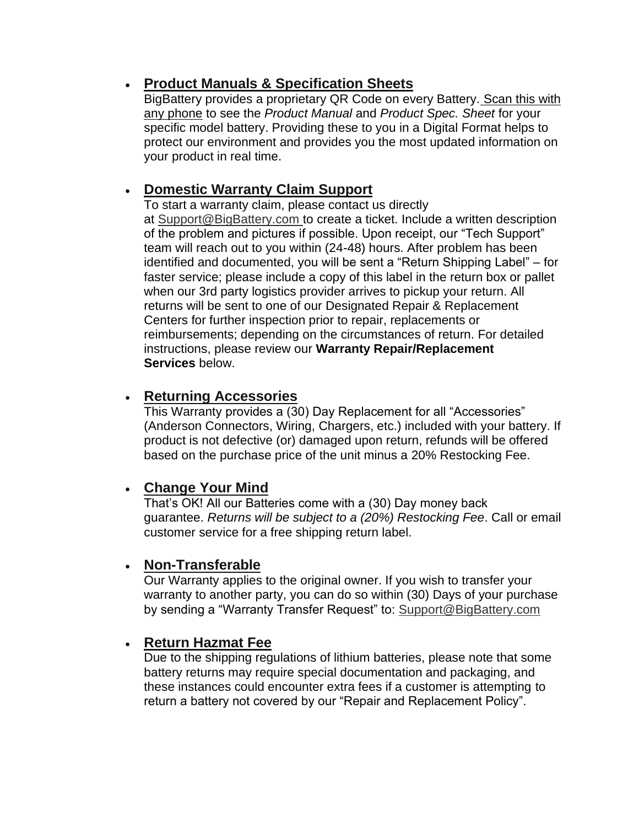## • **Product Manuals & Specification Sheets**

BigBattery provides a proprietary QR Code on every Battery. Scan this with any phone to see the *Product Manual* and *Product Spec. Sheet* for your specific model battery. Providing these to you in a Digital Format helps to protect our environment and provides you the most updated information on your product in real time.

## • **Domestic Warranty Claim Support**

To start a warranty claim, please contact us directly at [Support@BigBattery.com](mailto:Support@BigBattery.com) to create a ticket. Include a written description of the problem and pictures if possible. Upon receipt, our "Tech Support" team will reach out to you within (24-48) hours. After problem has been identified and documented, you will be sent a "Return Shipping Label" – for faster service; please include a copy of this label in the return box or pallet when our 3rd party logistics provider arrives to pickup your return. All returns will be sent to one of our Designated Repair & Replacement Centers for further inspection prior to repair, replacements or reimbursements; depending on the circumstances of return. For detailed instructions, please review our **Warranty Repair/Replacement Services** below.

### • **Returning Accessories**

This Warranty provides a (30) Day Replacement for all "Accessories" (Anderson Connectors, Wiring, Chargers, etc.) included with your battery. If product is not defective (or) damaged upon return, refunds will be offered based on the purchase price of the unit minus a 20% Restocking Fee.

## • **Change Your Mind**

That's OK! All our Batteries come with a (30) Day money back guarantee. *Returns will be subject to a (20%) Restocking Fee*. Call or email customer service for a free shipping return label.

### • **Non-Transferable**

Our Warranty applies to the original owner. If you wish to transfer your warranty to another party, you can do so within (30) Days of your purchase by sending a "Warranty Transfer Request" to: [Support@BigBattery.com](mailto:Support@BigBattery.com)

### • **Return Hazmat Fee**

Due to the shipping regulations of lithium batteries, please note that some battery returns may require special documentation and packaging, and these instances could encounter extra fees if a customer is attempting to return a battery not covered by our "Repair and Replacement Policy".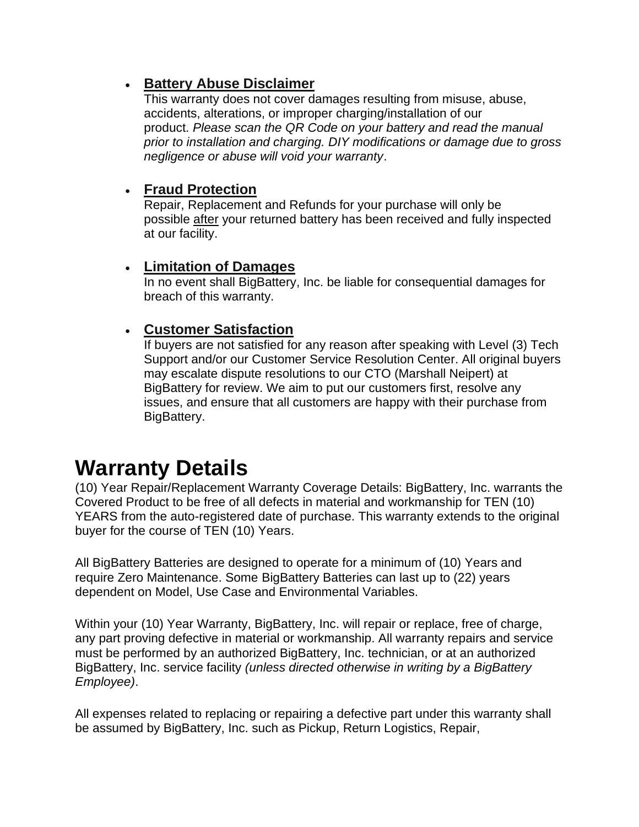## • **Battery Abuse Disclaimer**

This warranty does not cover damages resulting from misuse, abuse, accidents, alterations, or improper charging/installation of our product. *Please scan the QR Code on your battery and read the manual prior to installation and charging. DIY modifications or damage due to gross negligence or abuse will void your warranty*.

### • **Fraud Protection**

Repair, Replacement and Refunds for your purchase will only be possible after your returned battery has been received and fully inspected at our facility.

### • **Limitation of Damages**

In no event shall BigBattery, Inc. be liable for consequential damages for breach of this warranty.

## • **Customer Satisfaction**

If buyers are not satisfied for any reason after speaking with Level (3) Tech Support and/or our Customer Service Resolution Center. All original buyers may escalate dispute resolutions to our CTO (Marshall Neipert) at BigBattery for review. We aim to put our customers first, resolve any issues, and ensure that all customers are happy with their purchase from BigBattery.

# **Warranty Details**

(10) Year Repair/Replacement Warranty Coverage Details: BigBattery, Inc. warrants the Covered Product to be free of all defects in material and workmanship for TEN (10) YEARS from the auto-registered date of purchase. This warranty extends to the original buyer for the course of TEN (10) Years.

All BigBattery Batteries are designed to operate for a minimum of (10) Years and require Zero Maintenance. Some BigBattery Batteries can last up to (22) years dependent on Model, Use Case and Environmental Variables.

Within your (10) Year Warranty, BigBattery, Inc. will repair or replace, free of charge, any part proving defective in material or workmanship. All warranty repairs and service must be performed by an authorized BigBattery, Inc. technician, or at an authorized BigBattery, Inc. service facility *(unless directed otherwise in writing by a BigBattery Employee)*.

All expenses related to replacing or repairing a defective part under this warranty shall be assumed by BigBattery, Inc. such as Pickup, Return Logistics, Repair,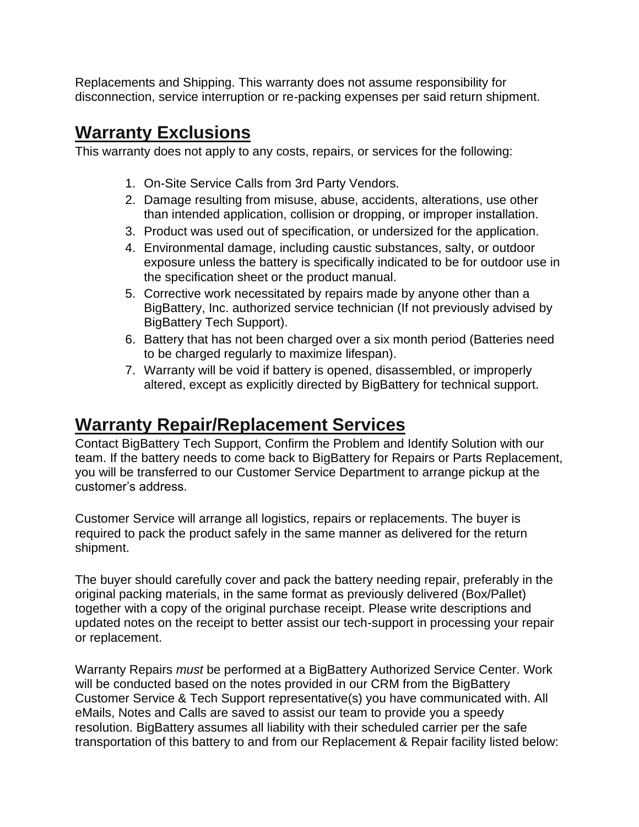Replacements and Shipping. This warranty does not assume responsibility for disconnection, service interruption or re-packing expenses per said return shipment.

# **Warranty Exclusions**

This warranty does not apply to any costs, repairs, or services for the following:

- 1. On-Site Service Calls from 3rd Party Vendors.
- 2. Damage resulting from misuse, abuse, accidents, alterations, use other than intended application, collision or dropping, or improper installation.
- 3. Product was used out of specification, or undersized for the application.
- 4. Environmental damage, including caustic substances, salty, or outdoor exposure unless the battery is specifically indicated to be for outdoor use in the specification sheet or the product manual.
- 5. Corrective work necessitated by repairs made by anyone other than a BigBattery, Inc. authorized service technician (If not previously advised by BigBattery Tech Support).
- 6. Battery that has not been charged over a six month period (Batteries need to be charged regularly to maximize lifespan).
- 7. Warranty will be void if battery is opened, disassembled, or improperly altered, except as explicitly directed by BigBattery for technical support.

# **Warranty Repair/Replacement Services**

Contact BigBattery Tech Support, Confirm the Problem and Identify Solution with our team. If the battery needs to come back to BigBattery for Repairs or Parts Replacement, you will be transferred to our Customer Service Department to arrange pickup at the customer's address.

Customer Service will arrange all logistics, repairs or replacements. The buyer is required to pack the product safely in the same manner as delivered for the return shipment.

The buyer should carefully cover and pack the battery needing repair, preferably in the original packing materials, in the same format as previously delivered (Box/Pallet) together with a copy of the original purchase receipt. Please write descriptions and updated notes on the receipt to better assist our tech-support in processing your repair or replacement.

Warranty Repairs *must* be performed at a BigBattery Authorized Service Center. Work will be conducted based on the notes provided in our CRM from the BigBattery Customer Service & Tech Support representative(s) you have communicated with. All eMails, Notes and Calls are saved to assist our team to provide you a speedy resolution. BigBattery assumes all liability with their scheduled carrier per the safe transportation of this battery to and from our Replacement & Repair facility listed below: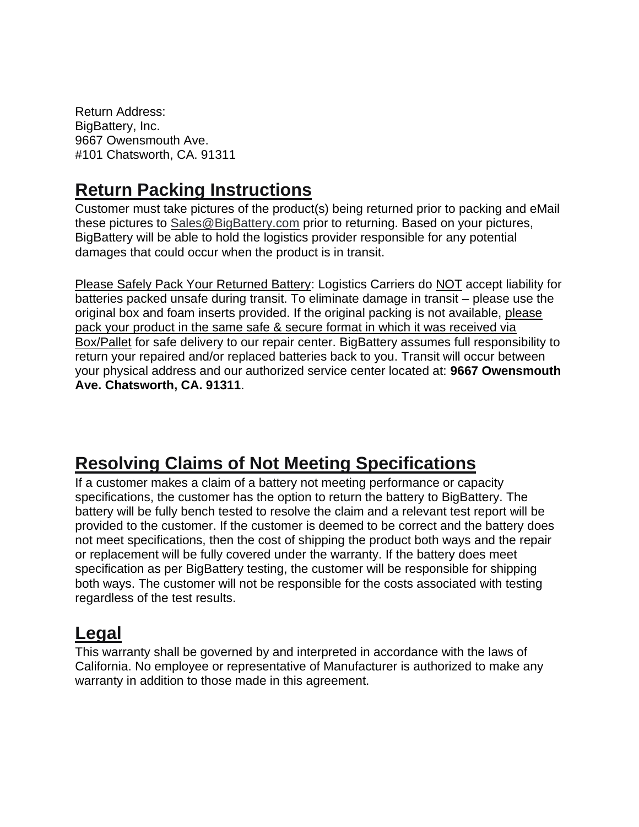Return Address: BigBattery, Inc. 9667 Owensmouth Ave. #101 Chatsworth, CA. 91311

# **Return Packing Instructions**

Customer must take pictures of the product(s) being returned prior to packing and eMail these pictures to [Sales@BigBattery.com](mailto:Sales@BigBattery.com) prior to returning. Based on your pictures, BigBattery will be able to hold the logistics provider responsible for any potential damages that could occur when the product is in transit.

Please Safely Pack Your Returned Battery: Logistics Carriers do NOT accept liability for batteries packed unsafe during transit. To eliminate damage in transit – please use the original box and foam inserts provided. If the original packing is not available, please pack your product in the same safe & secure format in which it was received via Box/Pallet for safe delivery to our repair center. BigBattery assumes full responsibility to return your repaired and/or replaced batteries back to you. Transit will occur between your physical address and our authorized service center located at: **9667 Owensmouth Ave. Chatsworth, CA. 91311**.

# **Resolving Claims of Not Meeting Specifications**

If a customer makes a claim of a battery not meeting performance or capacity specifications, the customer has the option to return the battery to BigBattery. The battery will be fully bench tested to resolve the claim and a relevant test report will be provided to the customer. If the customer is deemed to be correct and the battery does not meet specifications, then the cost of shipping the product both ways and the repair or replacement will be fully covered under the warranty. If the battery does meet specification as per BigBattery testing, the customer will be responsible for shipping both ways. The customer will not be responsible for the costs associated with testing regardless of the test results.

# **Legal**

This warranty shall be governed by and interpreted in accordance with the laws of California. No employee or representative of Manufacturer is authorized to make any warranty in addition to those made in this agreement.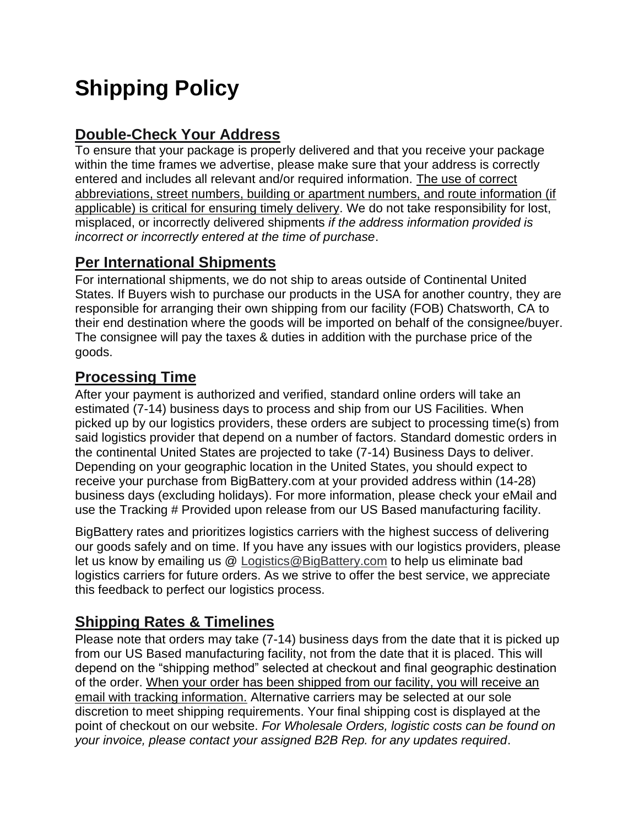# **Shipping Policy**

# **Double-Check Your Address**

To ensure that your package is properly delivered and that you receive your package within the time frames we advertise, please make sure that your address is correctly entered and includes all relevant and/or required information. The use of correct abbreviations, street numbers, building or apartment numbers, and route information (if applicable) is critical for ensuring timely delivery. We do not take responsibility for lost, misplaced, or incorrectly delivered shipments *if the address information provided is incorrect or incorrectly entered at the time of purchase*.

# **Per International Shipments**

For international shipments, we do not ship to areas outside of Continental United States. If Buyers wish to purchase our products in the USA for another country, they are responsible for arranging their own shipping from our facility (FOB) Chatsworth, CA to their end destination where the goods will be imported on behalf of the consignee/buyer. The consignee will pay the taxes & duties in addition with the purchase price of the goods.

# **Processing Time**

After your payment is authorized and verified, standard online orders will take an estimated (7-14) business days to process and ship from our US Facilities. When picked up by our logistics providers, these orders are subject to processing time(s) from said logistics provider that depend on a number of factors. Standard domestic orders in the continental United States are projected to take (7-14) Business Days to deliver. Depending on your geographic location in the United States, you should expect to receive your purchase from BigBattery.com at your provided address within (14-28) business days (excluding holidays). For more information, please check your eMail and use the Tracking # Provided upon release from our US Based manufacturing facility.

BigBattery rates and prioritizes logistics carriers with the highest success of delivering our goods safely and on time. If you have any issues with our logistics providers, please let us know by emailing us @ [Logistics@BigBattery.com](mailto:Logistics@BigBattery.com) to help us eliminate bad logistics carriers for future orders. As we strive to offer the best service, we appreciate this feedback to perfect our logistics process.

# **Shipping Rates & Timelines**

Please note that orders may take (7-14) business days from the date that it is picked up from our US Based manufacturing facility, not from the date that it is placed. This will depend on the "shipping method" selected at checkout and final geographic destination of the order. When your order has been shipped from our facility, you will receive an email with tracking information. Alternative carriers may be selected at our sole discretion to meet shipping requirements. Your final shipping cost is displayed at the point of checkout on our website. *For Wholesale Orders, logistic costs can be found on your invoice, please contact your assigned B2B Rep. for any updates required*.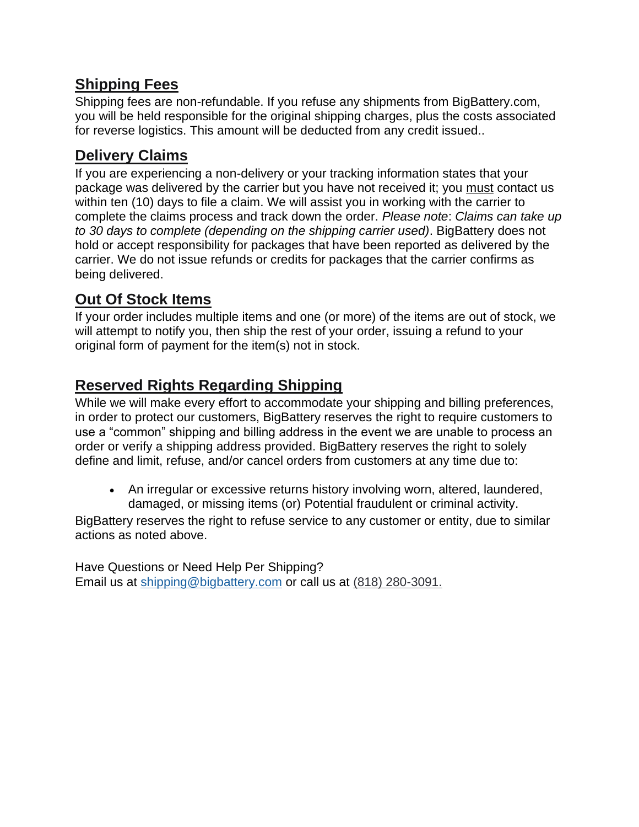# **Shipping Fees**

Shipping fees are non-refundable. If you refuse any shipments from BigBattery.com, you will be held responsible for the original shipping charges, plus the costs associated for reverse logistics. This amount will be deducted from any credit issued..

# **Delivery Claims**

If you are experiencing a non-delivery or your tracking information states that your package was delivered by the carrier but you have not received it; you must contact us within ten (10) days to file a claim. We will assist you in working with the carrier to complete the claims process and track down the order. *Please note*: *Claims can take up to 30 days to complete (depending on the shipping carrier used)*. BigBattery does not hold or accept responsibility for packages that have been reported as delivered by the carrier. We do not issue refunds or credits for packages that the carrier confirms as being delivered.

## **Out Of Stock Items**

If your order includes multiple items and one (or more) of the items are out of stock, we will attempt to notify you, then ship the rest of your order, issuing a refund to your original form of payment for the item(s) not in stock.

# **Reserved Rights Regarding Shipping**

While we will make every effort to accommodate your shipping and billing preferences, in order to protect our customers, BigBattery reserves the right to require customers to use a "common" shipping and billing address in the event we are unable to process an order or verify a shipping address provided. BigBattery reserves the right to solely define and limit, refuse, and/or cancel orders from customers at any time due to:

• An irregular or excessive returns history involving worn, altered, laundered, damaged, or missing items (or) Potential fraudulent or criminal activity.

BigBattery reserves the right to refuse service to any customer or entity, due to similar actions as noted above.

Have Questions or Need Help Per Shipping? Email us at [shipping@bigbattery.com](mailto:shipping@bigbattery.com) or call us at [\(818\) 280-3091.](tel:818-280-3091)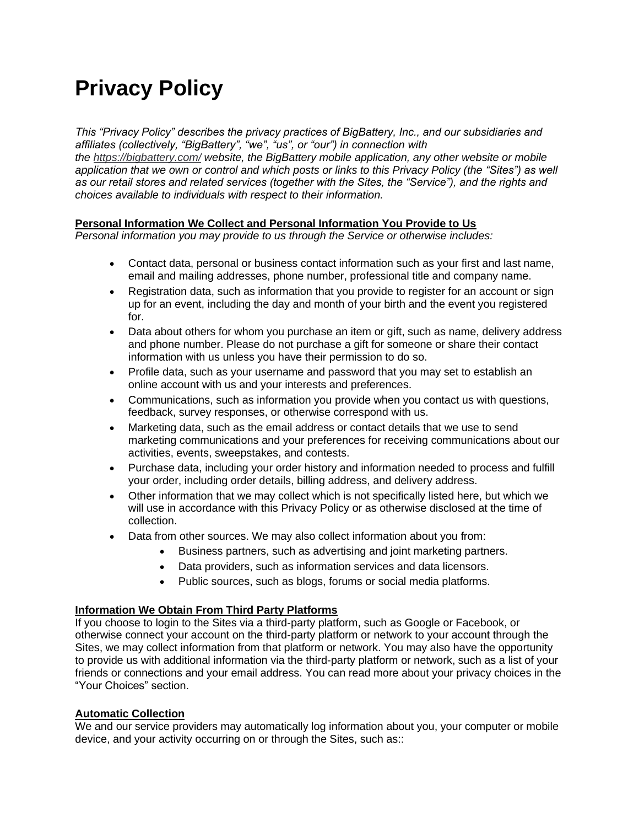# **Privacy Policy**

*This "Privacy Policy" describes the privacy practices of BigBattery, Inc., and our subsidiaries and affiliates (collectively, "BigBattery", "we", "us", or "our") in connection with* 

*the <https://bigbattery.com/> website, the BigBattery mobile application, any other website or mobile application that we own or control and which posts or links to this Privacy Policy (the "Sites") as well as our retail stores and related services (together with the Sites, the "Service"), and the rights and choices available to individuals with respect to their information.*

#### **Personal Information We Collect and Personal Information You Provide to Us**

*Personal information you may provide to us through the Service or otherwise includes:*

- Contact data, personal or business contact information such as your first and last name, email and mailing addresses, phone number, professional title and company name.
- Registration data, such as information that you provide to register for an account or sign up for an event, including the day and month of your birth and the event you registered for.
- Data about others for whom you purchase an item or gift, such as name, delivery address and phone number. Please do not purchase a gift for someone or share their contact information with us unless you have their permission to do so.
- Profile data, such as your username and password that you may set to establish an online account with us and your interests and preferences.
- Communications, such as information you provide when you contact us with questions, feedback, survey responses, or otherwise correspond with us.
- Marketing data, such as the email address or contact details that we use to send marketing communications and your preferences for receiving communications about our activities, events, sweepstakes, and contests.
- Purchase data, including your order history and information needed to process and fulfill your order, including order details, billing address, and delivery address.
- Other information that we may collect which is not specifically listed here, but which we will use in accordance with this Privacy Policy or as otherwise disclosed at the time of collection.
- Data from other sources. We may also collect information about you from:
	- Business partners, such as advertising and joint marketing partners.
	- Data providers, such as information services and data licensors.
	- Public sources, such as blogs, forums or social media platforms.

#### **Information We Obtain From Third Party Platforms**

If you choose to login to the Sites via a third-party platform, such as Google or Facebook, or otherwise connect your account on the third-party platform or network to your account through the Sites, we may collect information from that platform or network. You may also have the opportunity to provide us with additional information via the third-party platform or network, such as a list of your friends or connections and your email address. You can read more about your privacy choices in the "Your Choices" section.

#### **Automatic Collection**

We and our service providers may automatically log information about you, your computer or mobile device, and your activity occurring on or through the Sites, such as::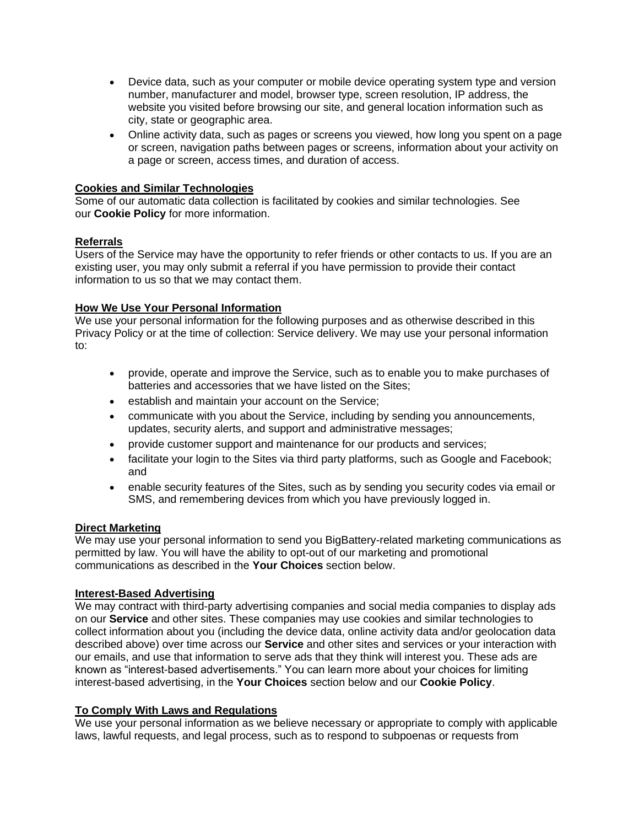- Device data, such as your computer or mobile device operating system type and version number, manufacturer and model, browser type, screen resolution, IP address, the website you visited before browsing our site, and general location information such as city, state or geographic area.
- Online activity data, such as pages or screens you viewed, how long you spent on a page or screen, navigation paths between pages or screens, information about your activity on a page or screen, access times, and duration of access.

#### **Cookies and Similar Technologies**

Some of our automatic data collection is facilitated by cookies and similar technologies. See our **Cookie Policy** for more information.

#### **Referrals**

Users of the Service may have the opportunity to refer friends or other contacts to us. If you are an existing user, you may only submit a referral if you have permission to provide their contact information to us so that we may contact them.

#### **How We Use Your Personal Information**

We use your personal information for the following purposes and as otherwise described in this Privacy Policy or at the time of collection: Service delivery. We may use your personal information to:

- provide, operate and improve the Service, such as to enable you to make purchases of batteries and accessories that we have listed on the Sites;
- establish and maintain your account on the Service;
- communicate with you about the Service, including by sending you announcements, updates, security alerts, and support and administrative messages;
- provide customer support and maintenance for our products and services;
- facilitate your login to the Sites via third party platforms, such as Google and Facebook; and
- enable security features of the Sites, such as by sending you security codes via email or SMS, and remembering devices from which you have previously logged in.

#### **Direct Marketing**

We may use your personal information to send you BigBattery-related marketing communications as permitted by law. You will have the ability to opt-out of our marketing and promotional communications as described in the **Your Choices** section below.

#### **Interest-Based Advertising**

We may contract with third-party advertising companies and social media companies to display ads on our **Service** and other sites. These companies may use cookies and similar technologies to collect information about you (including the device data, online activity data and/or geolocation data described above) over time across our **Service** and other sites and services or your interaction with our emails, and use that information to serve ads that they think will interest you. These ads are known as "interest-based advertisements." You can learn more about your choices for limiting interest-based advertising, in the **Your Choices** section below and our **Cookie Policy**.

#### **To Comply With Laws and Regulations**

We use your personal information as we believe necessary or appropriate to comply with applicable laws, lawful requests, and legal process, such as to respond to subpoenas or requests from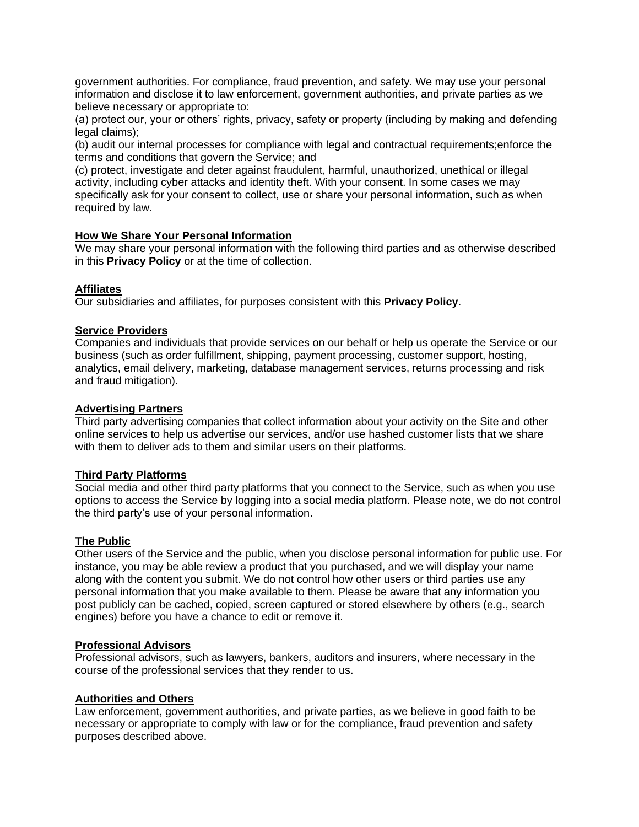government authorities. For compliance, fraud prevention, and safety. We may use your personal information and disclose it to law enforcement, government authorities, and private parties as we believe necessary or appropriate to:

(a) protect our, your or others' rights, privacy, safety or property (including by making and defending legal claims);

(b) audit our internal processes for compliance with legal and contractual requirements;enforce the terms and conditions that govern the Service; and

(c) protect, investigate and deter against fraudulent, harmful, unauthorized, unethical or illegal activity, including cyber attacks and identity theft. With your consent. In some cases we may specifically ask for your consent to collect, use or share your personal information, such as when required by law.

#### **How We Share Your Personal Information**

We may share your personal information with the following third parties and as otherwise described in this **Privacy Policy** or at the time of collection.

#### **Affiliates**

Our subsidiaries and affiliates, for purposes consistent with this **Privacy Policy**.

#### **Service Providers**

Companies and individuals that provide services on our behalf or help us operate the Service or our business (such as order fulfillment, shipping, payment processing, customer support, hosting, analytics, email delivery, marketing, database management services, returns processing and risk and fraud mitigation).

#### **Advertising Partners**

Third party advertising companies that collect information about your activity on the Site and other online services to help us advertise our services, and/or use hashed customer lists that we share with them to deliver ads to them and similar users on their platforms.

#### **Third Party Platforms**

Social media and other third party platforms that you connect to the Service, such as when you use options to access the Service by logging into a social media platform. Please note, we do not control the third party's use of your personal information.

#### **The Public**

Other users of the Service and the public, when you disclose personal information for public use. For instance, you may be able review a product that you purchased, and we will display your name along with the content you submit. We do not control how other users or third parties use any personal information that you make available to them. Please be aware that any information you post publicly can be cached, copied, screen captured or stored elsewhere by others (e.g., search engines) before you have a chance to edit or remove it.

#### **Professional Advisors**

Professional advisors, such as lawyers, bankers, auditors and insurers, where necessary in the course of the professional services that they render to us.

#### **Authorities and Others**

Law enforcement, government authorities, and private parties, as we believe in good faith to be necessary or appropriate to comply with law or for the compliance, fraud prevention and safety purposes described above.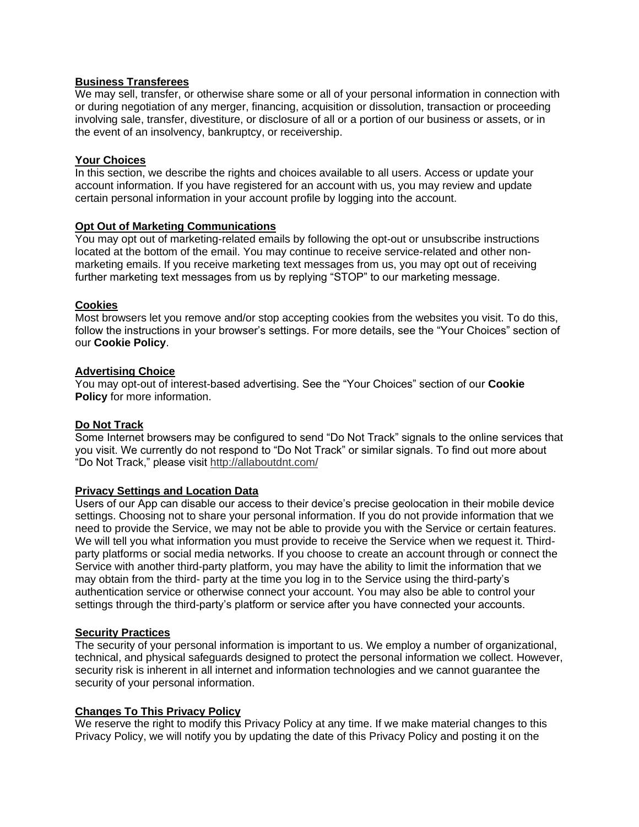#### **Business Transferees**

We may sell, transfer, or otherwise share some or all of your personal information in connection with or during negotiation of any merger, financing, acquisition or dissolution, transaction or proceeding involving sale, transfer, divestiture, or disclosure of all or a portion of our business or assets, or in the event of an insolvency, bankruptcy, or receivership.

#### **Your Choices**

In this section, we describe the rights and choices available to all users. Access or update your account information. If you have registered for an account with us, you may review and update certain personal information in your account profile by logging into the account.

#### **Opt Out of Marketing Communications**

You may opt out of marketing-related emails by following the opt-out or unsubscribe instructions located at the bottom of the email. You may continue to receive service-related and other nonmarketing emails. If you receive marketing text messages from us, you may opt out of receiving further marketing text messages from us by replying "STOP" to our marketing message.

#### **Cookies**

Most browsers let you remove and/or stop accepting cookies from the websites you visit. To do this, follow the instructions in your browser's settings. For more details, see the "Your Choices" section of our **Cookie Policy**.

#### **Advertising Choice**

You may opt-out of interest-based advertising. See the "Your Choices" section of our **Cookie Policy** for more information.

#### **Do Not Track**

Some Internet browsers may be configured to send "Do Not Track" signals to the online services that you visit. We currently do not respond to "Do Not Track" or similar signals. To find out more about "Do Not Track," please visit <http://allaboutdnt.com/>

#### **Privacy Settings and Location Data**

Users of our App can disable our access to their device's precise geolocation in their mobile device settings. Choosing not to share your personal information. If you do not provide information that we need to provide the Service, we may not be able to provide you with the Service or certain features. We will tell you what information you must provide to receive the Service when we request it. Thirdparty platforms or social media networks. If you choose to create an account through or connect the Service with another third-party platform, you may have the ability to limit the information that we may obtain from the third- party at the time you log in to the Service using the third-party's authentication service or otherwise connect your account. You may also be able to control your settings through the third-party's platform or service after you have connected your accounts.

#### **Security Practices**

The security of your personal information is important to us. We employ a number of organizational, technical, and physical safeguards designed to protect the personal information we collect. However, security risk is inherent in all internet and information technologies and we cannot guarantee the security of your personal information.

#### **Changes To This Privacy Policy**

We reserve the right to modify this Privacy Policy at any time. If we make material changes to this Privacy Policy, we will notify you by updating the date of this Privacy Policy and posting it on the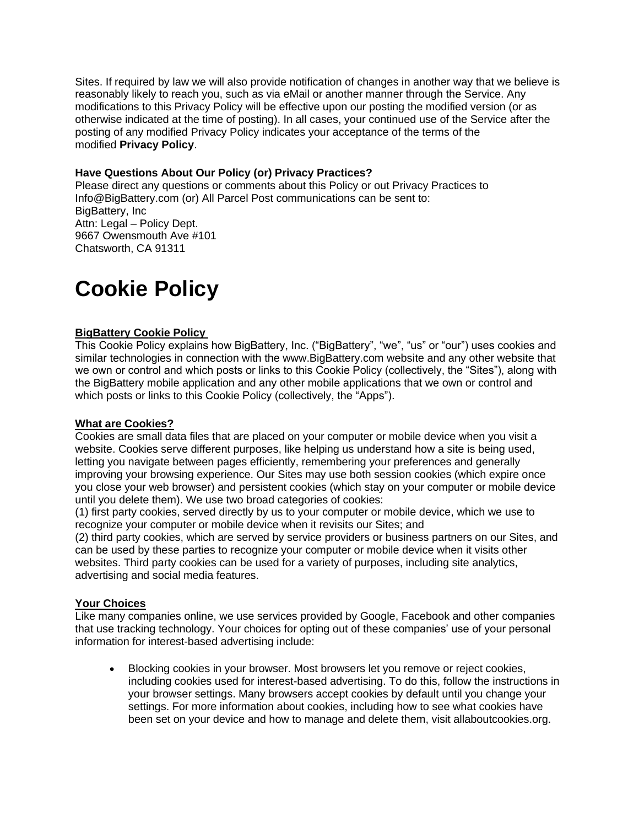Sites. If required by law we will also provide notification of changes in another way that we believe is reasonably likely to reach you, such as via eMail or another manner through the Service. Any modifications to this Privacy Policy will be effective upon our posting the modified version (or as otherwise indicated at the time of posting). In all cases, your continued use of the Service after the posting of any modified Privacy Policy indicates your acceptance of the terms of the modified **Privacy Policy**.

#### **Have Questions About Our Policy (or) Privacy Practices?**

Please direct any questions or comments about this Policy or out Privacy Practices to Info@BigBattery.com (or) All Parcel Post communications can be sent to: BigBattery, Inc Attn: Legal – Policy Dept. 9667 Owensmouth Ave #101 Chatsworth, CA 91311

# **Cookie Policy**

#### **BigBattery Cookie Policy**

This Cookie Policy explains how BigBattery, Inc. ("BigBattery", "we", "us" or "our") uses cookies and similar technologies in connection with the www.BigBattery.com website and any other website that we own or control and which posts or links to this Cookie Policy (collectively, the "Sites"), along with the BigBattery mobile application and any other mobile applications that we own or control and which posts or links to this Cookie Policy (collectively, the "Apps").

#### **What are Cookies?**

Cookies are small data files that are placed on your computer or mobile device when you visit a website. Cookies serve different purposes, like helping us understand how a site is being used, letting you navigate between pages efficiently, remembering your preferences and generally improving your browsing experience. Our Sites may use both session cookies (which expire once you close your web browser) and persistent cookies (which stay on your computer or mobile device until you delete them). We use two broad categories of cookies:

(1) first party cookies, served directly by us to your computer or mobile device, which we use to recognize your computer or mobile device when it revisits our Sites; and

(2) third party cookies, which are served by service providers or business partners on our Sites, and can be used by these parties to recognize your computer or mobile device when it visits other websites. Third party cookies can be used for a variety of purposes, including site analytics, advertising and social media features.

#### **Your Choices**

Like many companies online, we use services provided by Google, Facebook and other companies that use tracking technology. Your choices for opting out of these companies' use of your personal information for interest-based advertising include:

• Blocking cookies in your browser. Most browsers let you remove or reject cookies, including cookies used for interest-based advertising. To do this, follow the instructions in your browser settings. Many browsers accept cookies by default until you change your settings. For more information about cookies, including how to see what cookies have been set on your device and how to manage and delete them, visit allaboutcookies.org.